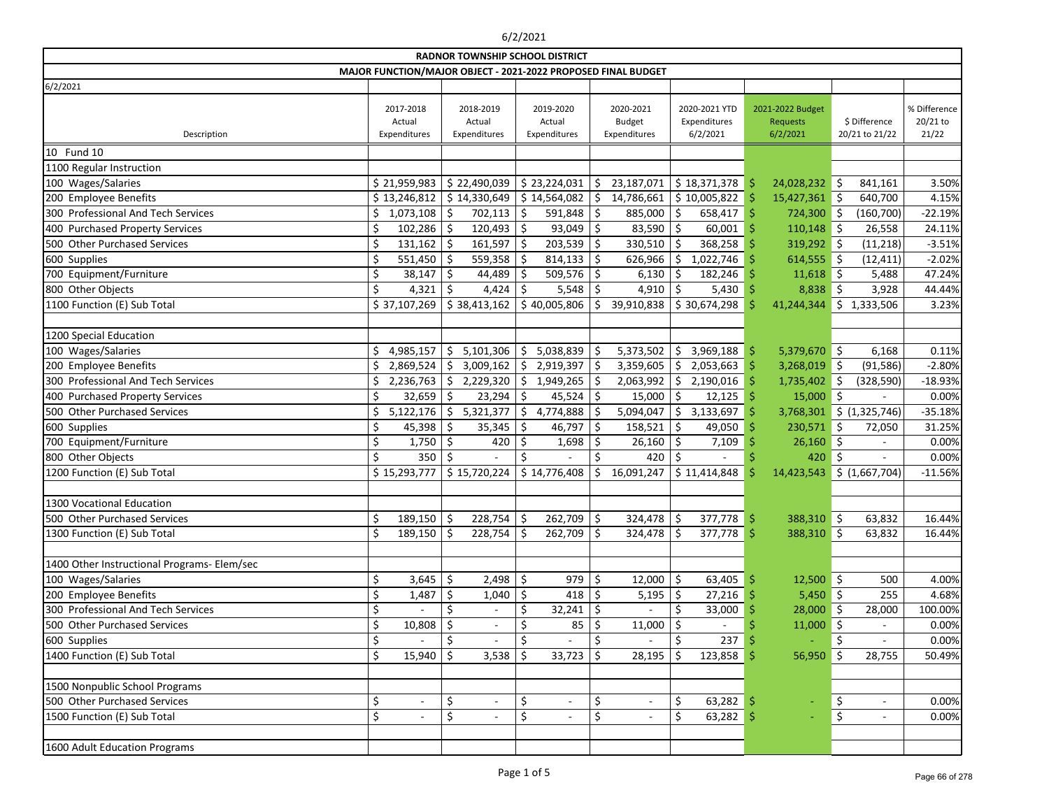|                                             |    |                                     |         | <b>RADNOR TOWNSHIP SCHOOL DISTRICT</b> |         |                                     |     | MAJOR FUNCTION/MAJOR OBJECT - 2021-2022 PROPOSED FINAL BUDGET |         |                                           |     |                                          |         |                                 |                                   |
|---------------------------------------------|----|-------------------------------------|---------|----------------------------------------|---------|-------------------------------------|-----|---------------------------------------------------------------|---------|-------------------------------------------|-----|------------------------------------------|---------|---------------------------------|-----------------------------------|
| 6/2/2021                                    |    |                                     |         |                                        |         |                                     |     |                                                               |         |                                           |     |                                          |         |                                 |                                   |
| Description                                 |    | 2017-2018<br>Actual<br>Expenditures |         | 2018-2019<br>Actual<br>Expenditures    |         | 2019-2020<br>Actual<br>Expenditures |     | 2020-2021<br><b>Budget</b><br>Expenditures                    |         | 2020-2021 YTD<br>Expenditures<br>6/2/2021 |     | 2021-2022 Budget<br>Requests<br>6/2/2021 |         | \$ Difference<br>20/21 to 21/22 | % Difference<br>20/21 to<br>21/22 |
| 10 Fund 10                                  |    |                                     |         |                                        |         |                                     |     |                                                               |         |                                           |     |                                          |         |                                 |                                   |
| 1100 Regular Instruction                    |    |                                     |         |                                        |         |                                     |     |                                                               |         |                                           |     |                                          |         |                                 |                                   |
| 100 Wages/Salaries                          |    | \$21,959,983                        |         | \$22,490,039                           |         | \$23,224,031                        | \$  | 23,187,071                                                    |         | \$18,371,378                              | -Ş  | 24,028,232                               | \$      | 841,161                         | 3.50%                             |
| 200 Employee Benefits                       |    | \$13,246,812                        |         | \$14,330,649                           |         | \$14,564,082                        | \$  | 14,786,661                                                    |         | \$10,005,822                              |     | 15,427,361                               | ∣\$     | 640,700                         | 4.15%                             |
| 300 Professional And Tech Services          |    | 1,073,108                           | \$      | 702,113                                | \$      | 591,848                             | \$  | 885,000                                                       | \$      | 658,417                                   | l S | 724,300 \$                               |         | (160, 700)                      | $-22.19%$                         |
| 400 Purchased Property Services             |    | 102,286                             | -S      | 120,493                                | \$      | 93,049                              | \$  | $83,590$ \$                                                   |         | $60,001$ \$                               |     | $110,148$ \$                             |         | 26,558                          | 24.11%                            |
| 500 Other Purchased Services                |    | 131,162                             | Ŝ.      | 161,597                                | \$      | 203,539                             | \$  | 330,510                                                       | -\$     | 368,258                                   |     | 319,292 \$                               |         | (11, 218)                       | $-3.51%$                          |
| 600 Supplies                                |    | 551,450                             |         | 559,358                                | \$      | 814,133                             | \$  | 626,966                                                       | \$      | 1,022,746                                 |     | $614,555$ \$                             |         | (12, 411)                       | $-2.02%$                          |
| 700 Equipment/Furniture                     |    | 38,147                              | \$      | 44,489                                 |         | 509,576                             | \$  | 6,130                                                         | Ŝ.      | 182,246                                   |     | 11,618                                   | \$      | 5,488                           | 47.24%                            |
| 800 Other Objects                           | Ś  | 4,321                               | \$      | 4,424                                  | \$      | 5,548                               | \$  | 4,910                                                         | -\$     | $5,430$ \$                                |     | 8,838                                    | \$      | 3,928                           | 44.44%                            |
| 1100 Function (E) Sub Total                 |    | \$37,107,269                        |         | \$38,413,162                           |         | \$40,005,806                        | S.  | 39,910,838                                                    |         | \$30,674,298                              |     | 41,244,344                               | \$      | 1,333,506                       | 3.23%                             |
|                                             |    |                                     |         |                                        |         |                                     |     |                                                               |         |                                           |     |                                          |         |                                 |                                   |
| 1200 Special Education                      |    |                                     |         |                                        |         |                                     |     |                                                               |         |                                           |     |                                          |         |                                 |                                   |
| 100 Wages/Salaries                          | \$ | 4,985,157                           | \$      | 5,101,306                              | \$      | 5,038,839                           | \$  | 5,373,502                                                     | \$      | 3,969,188                                 | -S  | $5,379,670$ \$                           |         | 6,168                           | 0.11%                             |
| 200 Employee Benefits                       |    | 2,869,524                           | \$      | 3,009,162                              | \$      | 2,919,397                           | \$  | 3,359,605                                                     | $\zeta$ | 2,053,663                                 |     | 3,268,019                                | ∥\$     | (91, 586)                       | $-2.80%$                          |
| 300 Professional And Tech Services          |    | 2,236,763                           | \$      | 2,229,320                              | \$      | 1,949,265                           | S   | 2,063,992                                                     | \$      | $2,190,016$ \$                            |     | 1,735,402                                | ∥\$     | (328, 590)                      | $-18.93%$                         |
| 400 Purchased Property Services             |    | 32,659                              | \$      | 23,294                                 | \$      | 45,524                              | \$  | 15,000                                                        | \$      | $12,125$ \$                               |     | 15,000                                   | $\zeta$ |                                 | 0.00%                             |
| 500 Other Purchased Services                | Ś  | 5,122,176                           | \$      | 5,321,377                              | \$      | 4,774,888                           |     | 5,094,047                                                     | \$      | 3,133,697                                 |     | 3,768,301                                |         | \$ (1,325,746)                  | $-35.18%$                         |
| 600 Supplies                                |    | 45,398                              | \$      | 35,345                                 | \$      | 46,797                              | \$  | 158,521                                                       | \$      | 49,050                                    |     | 230,571                                  | \$      | 72,050                          | 31.25%                            |
| 700 Equipment/Furniture                     | \$ | 1,750                               | \$      | 420                                    | $\zeta$ | 1,698                               | \$  | $26,160$ \$                                                   |         | 7,109                                     |     | 26,160                                   | \$      |                                 | 0.00%                             |
| 800 Other Objects                           | \$ | 350                                 | Ŝ.      |                                        | Ś.      |                                     | Ś.  | 420                                                           | -Ŝ      |                                           |     | 420                                      | \$      |                                 | 0.00%                             |
| 1200 Function (E) Sub Total                 |    | \$15,293,777                        |         | \$15,720,224                           |         | \$14,776,408                        | \$. | 16,091,247                                                    |         | \$11,414,848                              |     | 14,423,543                               |         | \$ (1,667,704)                  | $-11.56%$                         |
|                                             |    |                                     |         |                                        |         |                                     |     |                                                               |         |                                           |     |                                          |         |                                 |                                   |
| 1300 Vocational Education                   |    |                                     |         |                                        |         |                                     |     |                                                               |         |                                           |     |                                          |         |                                 |                                   |
| 500 Other Purchased Services                | ς. | $189,150$ \$                        |         | 228,754                                | \$      | $262,709$ \$                        |     | 324,478   \$                                                  |         | 377,778                                   | \$  | 388,310 \$                               |         | 63,832                          | 16.44%                            |
| 1300 Function (E) Sub Total                 | \$ | 189,150                             | $\zeta$ | 228,754                                | $\zeta$ | $262,709$ \$                        |     | $324,478$ \$                                                  |         | $377,778$ \$                              |     | 388,310 \$                               |         | 63,832                          | 16.44%                            |
|                                             |    |                                     |         |                                        |         |                                     |     |                                                               |         |                                           |     |                                          |         |                                 |                                   |
| 1400 Other Instructional Programs- Elem/sec |    |                                     |         |                                        |         |                                     |     |                                                               |         |                                           |     |                                          |         |                                 |                                   |
| 100 Wages/Salaries                          |    | 3,645                               | \$      | 2,498                                  | $\zeta$ | 979                                 | \$  | 12,000 $\vert$ \$                                             |         | $63,405$ \$                               |     | $12,500$ \$                              |         | 500                             | 4.00%                             |
| 200 Employee Benefits                       |    | 1,487                               | \$      | 1,040                                  | $\zeta$ | 418                                 | \$  | $5,195$ \$                                                    |         | $27,216$ \$                               |     | $5,450$ \$                               |         | 255                             | 4.68%                             |
| 300 Professional And Tech Services          |    |                                     |         |                                        | \$      | 32,241                              | \$  |                                                               |         | $33,000$ \$                               |     | $28,000$ \$                              |         | 28,000                          | 100.00%                           |
| 500 Other Purchased Services                |    | 10,808                              | \$      |                                        |         | 85                                  | \$  | 11,000                                                        |         |                                           |     | 11,000                                   | Ŝ       |                                 | 0.00%                             |
| 600 Supplies                                | \$ |                                     |         |                                        | \$      |                                     | \$  |                                                               |         | 237                                       |     |                                          | \$      |                                 | 0.00%                             |
| 1400 Function (E) Sub Total                 |    | 15,940                              | \$      | 3,538                                  | \$      | 33,723                              | \$  | 28,195                                                        |         | $123,858$ \$                              |     | 56,950                                   | \$      | 28,755                          | 50.49%                            |
| 1500 Nonpublic School Programs              |    |                                     |         |                                        |         |                                     |     |                                                               |         |                                           |     |                                          |         |                                 |                                   |
| 500 Other Purchased Services                | \$ | $\overline{\phantom{a}}$            | \$      | $\overline{\phantom{a}}$               | \$      | $\overline{\phantom{a}}$            | \$  | $\overline{\phantom{a}}$                                      | \$      | 63,282                                    |     |                                          | \$      | $\overline{\phantom{a}}$        | 0.00%                             |
| 1500 Function (E) Sub Total                 | \$ |                                     | \$      |                                        | \$      |                                     | \$  |                                                               | \$      | $63,282$ \$                               |     |                                          | \$      | $\overline{\phantom{a}}$        | 0.00%                             |
| 1600 Adult Education Programs               |    |                                     |         |                                        |         |                                     |     |                                                               |         |                                           |     |                                          |         |                                 |                                   |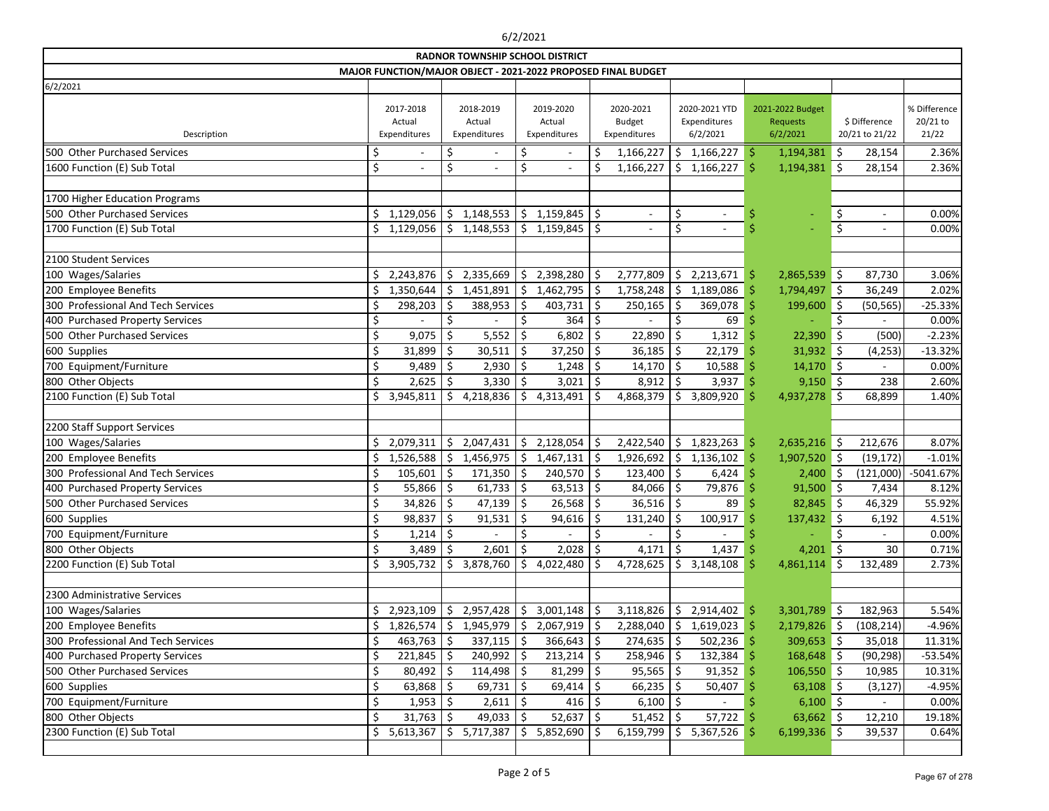|                                    |    |                                     |              |                                     |                    | <b>RADNOR TOWNSHIP SCHOOL DISTRICT</b> |         |                                                               |         |                                           |    |                                                 |         |                                 |                                   |
|------------------------------------|----|-------------------------------------|--------------|-------------------------------------|--------------------|----------------------------------------|---------|---------------------------------------------------------------|---------|-------------------------------------------|----|-------------------------------------------------|---------|---------------------------------|-----------------------------------|
|                                    |    |                                     |              |                                     |                    |                                        |         | MAJOR FUNCTION/MAJOR OBJECT - 2021-2022 PROPOSED FINAL BUDGET |         |                                           |    |                                                 |         |                                 |                                   |
| 6/2/2021                           |    |                                     |              |                                     |                    |                                        |         |                                                               |         |                                           |    |                                                 |         |                                 |                                   |
| Description                        |    | 2017-2018<br>Actual<br>Expenditures |              | 2018-2019<br>Actual<br>Expenditures |                    | 2019-2020<br>Actual<br>Expenditures    |         | 2020-2021<br><b>Budget</b><br>Expenditures                    |         | 2020-2021 YTD<br>Expenditures<br>6/2/2021 |    | 2021-2022 Budget<br><b>Requests</b><br>6/2/2021 |         | \$ Difference<br>20/21 to 21/22 | % Difference<br>20/21 to<br>21/22 |
| 500 Other Purchased Services       |    |                                     |              |                                     | \$                 |                                        | \$      | 1,166,227                                                     | \$      | 1,166,227                                 | \$ | $1,194,381$ \$                                  |         | 28,154                          | 2.36%                             |
| 1600 Function (E) Sub Total        | \$ |                                     | \$           |                                     | \$                 |                                        |         | 1,166,227                                                     | \$      | 1,166,227                                 |    | $1,194,381$ \$                                  |         | 28,154                          | 2.36%                             |
|                                    |    |                                     |              |                                     |                    |                                        |         |                                                               |         |                                           |    |                                                 |         |                                 |                                   |
| 1700 Higher Education Programs     |    |                                     |              |                                     |                    |                                        |         |                                                               |         |                                           |    |                                                 |         |                                 |                                   |
| 500 Other Purchased Services       | Ś  | 1,129,056                           | \$           | 1,148,553                           | \$                 | 1,159,845                              | \$      | $\overline{\phantom{a}}$                                      | \$      | $\blacksquare$                            | Ş  |                                                 | \$      | $\overline{\phantom{a}}$        | 0.00%                             |
| 1700 Function (E) Sub Total        | \$ | 1,129,056                           | Ś.           | 1,148,553                           | \$                 | 1,159,845                              | \$      | $\blacksquare$                                                | \$      |                                           |    |                                                 | $\zeta$ | $\overline{\phantom{a}}$        | 0.00%                             |
|                                    |    |                                     |              |                                     |                    |                                        |         |                                                               |         |                                           |    |                                                 |         |                                 |                                   |
| 2100 Student Services              |    |                                     |              |                                     |                    |                                        |         |                                                               |         |                                           |    |                                                 |         |                                 |                                   |
| 100 Wages/Salaries                 | \$ | 2,243,876                           | \$.          | 2,335,669                           | \$                 | 2,398,280                              | \$      | 2,777,809                                                     | \$      | 2,213,671                                 | \$ | 2,865,539                                       | \$      | 87,730                          | 3.06%                             |
| 200 Employee Benefits              |    | 1,350,644                           |              | 1,451,891                           | \$                 | 1,462,795                              | \$      | 1,758,248                                                     | \$      | 1,189,086                                 |    | 1,794,497 \$                                    |         | 36,249                          | 2.02%                             |
| 300 Professional And Tech Services |    | 298,203                             |              | 388,953                             | \$                 | 403,731                                | \$      | 250,165                                                       | \$      | 369,078                                   | \$ | 199,600                                         | ∥\$     | (50, 565)                       | $-25.33%$                         |
| 400 Purchased Property Services    |    |                                     |              |                                     |                    | 364                                    | Ś       |                                                               |         | 69                                        |    |                                                 |         |                                 | 0.00%                             |
| 500 Other Purchased Services       | \$ | 9,075                               | \$           | 5,552                               | \$                 | 6,802                                  | \$      | 22,890                                                        | \$      | 1,312                                     |    | 22,390                                          | \$      | (500)                           | $-2.23%$                          |
| 600 Supplies                       | \$ | 31,899                              | \$           | 30,511                              | \$                 | 37,250                                 | \$      | 36,185                                                        | \$      | 22,179                                    | Ś  | 31,932                                          | ∥\$     | (4, 253)                        | $-13.32%$                         |
| 700 Equipment/Furniture            |    | 9,489                               | Ŝ            | 2,930                               | Ŝ.                 | 1,248                                  | -\$     | 14,170                                                        | \$      | 10,588                                    |    | $14,170$ \$                                     |         |                                 | 0.00%                             |
| 800 Other Objects                  | Ś  | 2,625                               |              | 3,330                               | \$                 | 3,021                                  | \$      | 8,912                                                         | \$.     | 3,937                                     |    | $9,150$ \$                                      |         | 238                             | 2.60%                             |
| 2100 Function (E) Sub Total        |    | 3,945,811                           | Ś            | 4,218,836                           | Ŝ.                 | 4,313,491                              |         | 4,868,379                                                     | Ś       | 3,809,920                                 |    | $4,937,278$ \$                                  |         | 68,899                          | 1.40%                             |
|                                    |    |                                     |              |                                     |                    |                                        |         |                                                               |         |                                           |    |                                                 |         |                                 |                                   |
| 2200 Staff Support Services        |    |                                     |              |                                     |                    |                                        |         |                                                               |         |                                           |    |                                                 |         |                                 |                                   |
| 100 Wages/Salaries                 |    | 2,079,311                           | \$           | 2,047,431                           | \$                 | 2,128,054                              | \$      | 2,422,540                                                     | \$      | 1,823,263                                 | \$ | $2,635,216$ \$                                  |         | 212,676                         | 8.07%                             |
| 200 Employee Benefits              |    | 1,526,588                           | \$           | 1,456,975                           | \$                 | 1,467,131                              | \$      | 1,926,692                                                     | \$      | 1,136,102                                 | \$ | $1,907,520$ \$                                  |         | (19, 172)                       | $-1.01%$                          |
| 300 Professional And Tech Services |    | 105,601                             |              | 171,350                             | Ś.                 | 240,570                                | \$      | 123,400                                                       | \$      | 6,424                                     |    | 2,400                                           | \$      | (121,000)                       | $-5041.67%$                       |
| 400 Purchased Property Services    |    | 55,866                              |              | 61,733                              | \$                 | 63,513                                 | \$      | 84,066                                                        | \$      | 79,876                                    |    | $91,500$ \$                                     |         | 7,434                           | 8.12%                             |
| 500 Other Purchased Services       |    | 34,826                              |              | 47,139                              | S                  | 26,568                                 | Ŝ.      | $36,516$ \$                                                   |         | 89                                        |    | 82,845                                          | 5 ا     | 46,329                          | 55.92%                            |
| 600 Supplies                       | ¢  | 98,837                              | $\zeta$      | 91,531                              | $\dot{\mathsf{S}}$ | 94,616                                 | $\zeta$ | 131,240                                                       | $\zeta$ | 100,917                                   |    | 137,432                                         | $\zeta$ | 6,192                           | 4.51%                             |
| 700 Equipment/Furniture            | \$ | 1,214                               | \$           |                                     | \$                 |                                        | \$      |                                                               | \$      |                                           |    |                                                 | \$      |                                 | 0.00%                             |
| 800 Other Objects                  |    | 3,489                               | -Ş           | 2,601                               | \$                 | 2,028                                  | \$      | 4,171                                                         | \$      | 1,437                                     |    | 4,201 \$                                        |         | 30                              | 0.71%                             |
| 2200 Function (E) Sub Total        |    | 3,905,732                           | \$.          | 3,878,760                           | \$.                | 4,022,480                              | \$      | 4,728,625                                                     | \$      | 3,148,108                                 |    | 4,861,114                                       | \$      | 132,489                         | 2.73%                             |
|                                    |    |                                     |              |                                     |                    |                                        |         |                                                               |         |                                           |    |                                                 |         |                                 |                                   |
| 2300 Administrative Services       |    |                                     |              |                                     |                    |                                        |         |                                                               |         |                                           |    |                                                 |         |                                 |                                   |
| 100 Wages/Salaries                 |    | 2,923,109                           |              | 2,957,428                           | \$                 | 3,001,148                              | \$      | 3,118,826                                                     | \$      | $2,914,402$ \$                            |    | $3,301,789$ \$                                  |         | 182,963                         | 5.54%                             |
| 200 Employee Benefits              |    | 1,826,574                           | Ś            | 1,945,979                           | \$                 | 2,067,919                              | Ŝ       | 2,288,040                                                     | \$      | 1,619,023                                 |    | $2,179,826$ \$                                  |         | (108, 214)                      | -4.96%                            |
| 300 Professional And Tech Services |    | 463,763                             |              | 337,115                             | -\$                | 366,643                                | \$      | $274,635$ \$                                                  |         | 502,236                                   |    | $309,653$ \$                                    |         | 35,018                          | 11.31%                            |
| 400 Purchased Property Services    |    | 221,845                             | <sub>S</sub> | 240,992                             | -S                 | 213,214                                | S       | $258,946$   \$                                                |         | 132,384                                   |    | 168,648 \$                                      |         | (90, 298)                       | $-53.54%$                         |
| 500 Other Purchased Services       |    | 80,492                              |              | 114,498                             | -S                 | 81,299                                 | -S      | $95,565$   \$                                                 |         | 91,352                                    |    | 106,550 \$                                      |         | 10,985                          | 10.31%                            |
| 600 Supplies                       | \$ | 63,868                              |              | 69,731                              | -S                 | 69,414                                 | Ŝ       | $66,235$   \$                                                 |         | 50,407                                    |    | $63,108$ \$                                     |         | (3, 127)                        | $-4.95%$                          |
| 700 Equipment/Furniture            |    | 1,953                               |              | 2,611                               | -Ş                 | 416                                    |         | $6,100$   \$                                                  |         |                                           |    | $6,100$ \$                                      |         |                                 | 0.00%                             |
| 800 Other Objects                  | \$ | 31,763                              |              | 49,033                              |                    | 52,637                                 | \$      | 51,452                                                        |         | 57,722                                    |    | $63,662$ \$                                     |         | 12,210                          | 19.18%                            |
| 2300 Function (E) Sub Total        |    | 5,613,367                           | \$           | 5,717,387                           | \$                 | 5,852,690                              | S.      | 6,159,799                                                     | \$      | 5,367,526                                 |    | $6,199,336$ \$                                  |         | 39,537                          | 0.64%                             |
|                                    |    |                                     |              |                                     |                    |                                        |         |                                                               |         |                                           |    |                                                 |         |                                 |                                   |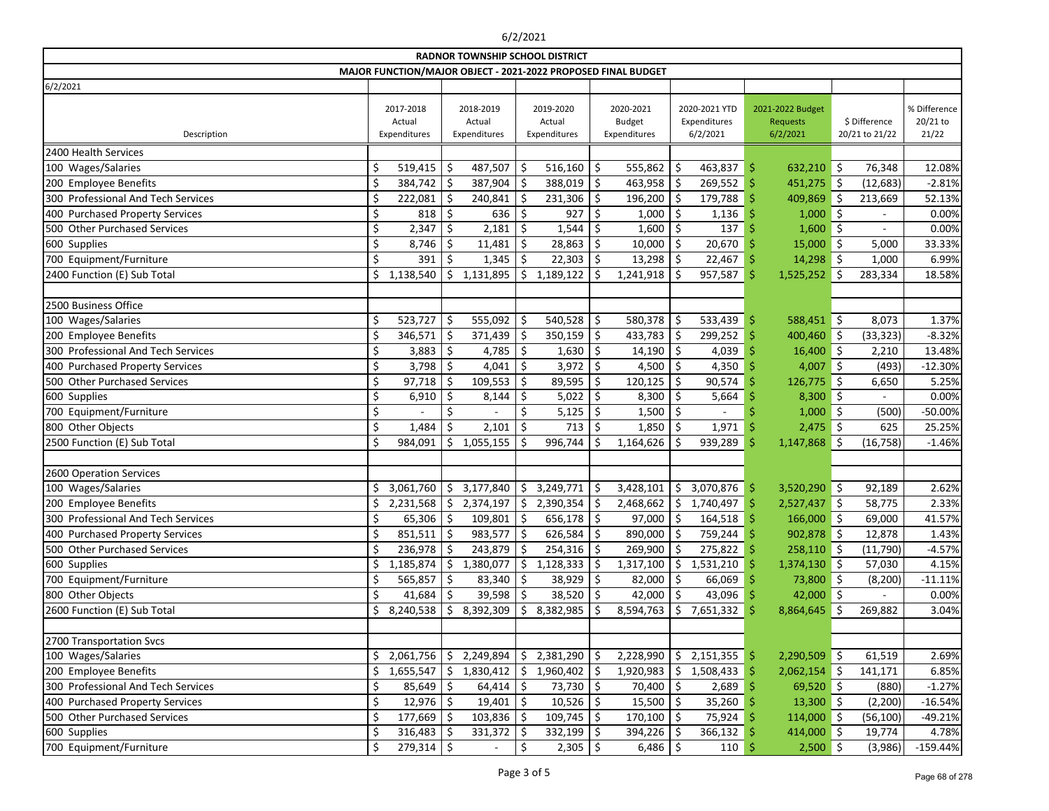|                                                               | <b>RADNOR TOWNSHIP SCHOOL DISTRICT</b> |                                     |     |                                     |     |                                     |         |                                            |               |                                           |    |                                                 |     |                                 |                                   |
|---------------------------------------------------------------|----------------------------------------|-------------------------------------|-----|-------------------------------------|-----|-------------------------------------|---------|--------------------------------------------|---------------|-------------------------------------------|----|-------------------------------------------------|-----|---------------------------------|-----------------------------------|
| MAJOR FUNCTION/MAJOR OBJECT - 2021-2022 PROPOSED FINAL BUDGET |                                        |                                     |     |                                     |     |                                     |         |                                            |               |                                           |    |                                                 |     |                                 |                                   |
| 6/2/2021                                                      |                                        |                                     |     |                                     |     |                                     |         |                                            |               |                                           |    |                                                 |     |                                 |                                   |
| Description                                                   |                                        | 2017-2018<br>Actual<br>Expenditures |     | 2018-2019<br>Actual<br>Expenditures |     | 2019-2020<br>Actual<br>Expenditures |         | 2020-2021<br><b>Budget</b><br>Expenditures |               | 2020-2021 YTD<br>Expenditures<br>6/2/2021 |    | 2021-2022 Budget<br><b>Requests</b><br>6/2/2021 |     | \$ Difference<br>20/21 to 21/22 | % Difference<br>20/21 to<br>21/22 |
| 2400 Health Services                                          |                                        |                                     |     |                                     |     |                                     |         |                                            |               |                                           |    |                                                 |     |                                 |                                   |
| 100 Wages/Salaries                                            | \$                                     | 519,415                             | \$  | 487,507                             | \$  | 516,160                             | \$      | 555,862                                    | Ś.            | 463,837                                   | Ŝ  | $632,210$ \$                                    |     | 76,348                          | 12.08%                            |
| 200 Employee Benefits                                         |                                        | 384,742                             | \$  | 387,904                             | Ś.  | 388,019                             | \$      | 463,958                                    | Ś.            | 269,552                                   | Ŝ  | 451,275 \$                                      |     | (12, 683)                       | $-2.81%$                          |
| 300 Professional And Tech Services                            |                                        | 222,081                             | Ś   | 240,841                             |     | 231,306                             | \$      | 196,200                                    | <sup>\$</sup> | 179,788                                   | .S | 409,869                                         | \$  | 213,669                         | 52.13%                            |
| 400 Purchased Property Services                               | \$                                     | 818                                 | Ś   | 636                                 | Ś   | 927                                 | Ś       | 1,000                                      |               | 1,136                                     |    | $1,000$ \$                                      |     |                                 | 0.00%                             |
| 500 Other Purchased Services                                  | \$                                     | 2,347                               |     | 2,181                               | S   | 1,544                               |         | 1,600                                      | Ŝ             | 137                                       |    | $1,600$ \$                                      |     |                                 | 0.00%                             |
| 600 Supplies                                                  | \$                                     | 8,746                               | \$  | 11,481                              | \$  | 28,863                              | Ś.      | 10,000                                     |               | 20,670                                    |    | 15,000                                          | \$  | 5,000                           | 33.33%                            |
| 700 Equipment/Furniture                                       | \$                                     | 391                                 |     | 1,345                               | Ś.  | 22,303                              | \$      | 13,298                                     |               | 22,467                                    | -S | $14,298$ \$                                     |     | 1,000                           | 6.99%                             |
| 2400 Function (E) Sub Total                                   |                                        | 1,138,540                           | \$. | 1,131,895                           | \$  | 1,189,122                           |         | 1,241,918                                  |               | 957,587                                   | S  | 1,525,252                                       | \$  | 283,334                         | 18.58%                            |
|                                                               |                                        |                                     |     |                                     |     |                                     |         |                                            |               |                                           |    |                                                 |     |                                 |                                   |
| 2500 Business Office                                          |                                        |                                     |     |                                     |     |                                     |         |                                            |               |                                           |    |                                                 |     |                                 |                                   |
| 100 Wages/Salaries                                            | \$                                     | 523,727                             | \$  | 555,092                             | \$  | 540,528                             | \$      | 580,378                                    | Ś.            | 533,439                                   | -Ŝ | 588,451 \$                                      |     | 8,073                           | 1.37%                             |
| 200 Employee Benefits                                         | \$                                     | 346,571                             | Ś   | 371,439                             |     | 350,159                             | \$      | 433,783                                    | \$            | 299,252                                   |    | 400,460                                         | ∥\$ | (33, 323)                       | $-8.32%$                          |
| 300 Professional And Tech Services                            |                                        | 3,883                               | \$  | 4,785                               | \$  | 1,630                               | \$      | 14,190                                     | Ŝ             | 4,039                                     | -S | $16,400$ \$                                     |     | 2,210                           | 13.48%                            |
| 400 Purchased Property Services                               | \$                                     | 3,798                               | Ś   | 4,041                               | \$  | 3,972                               | \$      | 4,500                                      |               | 4,350                                     |    | $4,007$ \$                                      |     | (493)                           | $-12.30%$                         |
| 500 Other Purchased Services                                  | \$                                     | 97,718                              |     | 109,553                             | Ś   | 89,595                              | Ś       | 120,125                                    | Ŝ             | 90,574                                    | -S | 126,775                                         | 5 ا | 6,650                           | 5.25%                             |
| 600 Supplies                                                  | \$                                     | 6,910                               | \$  | 8,144                               | Ś   | 5,022                               | \$      | 8,300                                      |               | 5,664                                     |    | 8,300                                           | \$  |                                 | 0.00%                             |
| 700 Equipment/Furniture                                       | \$                                     |                                     |     |                                     |     | 5,125                               |         | 1,500                                      |               |                                           |    | 1,000                                           | ∥\$ | (500)                           | -50.00%                           |
| 800 Other Objects                                             | \$                                     | 1,484                               | \$  | 2,101                               | \$  | 713                                 | \$      | 1,850                                      |               | 1,971                                     |    | $2,475$ \$                                      |     | 625                             | 25.25%                            |
| 2500 Function (E) Sub Total                                   | \$                                     | 984,091                             | \$. | 1,055,155                           | Ś   | 996,744                             | Ś       | 1,164,626                                  |               | 939,289                                   |    | $1,147,868$ \$                                  |     | (16, 758)                       | $-1.46%$                          |
|                                                               |                                        |                                     |     |                                     |     |                                     |         |                                            |               |                                           |    |                                                 |     |                                 |                                   |
| 2600 Operation Services                                       |                                        |                                     |     |                                     |     |                                     |         |                                            |               |                                           |    |                                                 |     |                                 |                                   |
| 100 Wages/Salaries                                            | \$.                                    | 3,061,760                           | \$. | 3,177,840                           | \$. | 3,249,771                           | \$      | 3,428,101                                  | \$            | 3,070,876                                 | -S | $3,520,290$ \$                                  |     | 92,189                          | 2.62%                             |
| 200 Employee Benefits                                         |                                        | 2,231,568                           |     | \$2,374,197                         |     | \$2,390,354                         | Ŝ.      | 2,468,662                                  | \$            | 1,740,497                                 |    | 2,527,437                                       | \$  | 58,775                          | 2.33%                             |
| 300 Professional And Tech Services                            | Ś.                                     | 65,306 $\vert$ \$                   |     | 109,801                             | \$  | 656,178                             | $\zeta$ | 97,000                                     | Ś.            | $164,518$ \$                              |    | $166,000$ \$                                    |     | 69,000                          | 41.57%                            |
| 400 Purchased Property Services                               | \$                                     | 851,511                             | \$  | 983,577                             | \$  | 626,584                             | \$      | 890,000                                    | Ŝ             | 759,244 \$                                |    | 902,878 \$                                      |     | 12,878                          | 1.43%                             |
| 500 Other Purchased Services                                  | \$                                     | 236,978                             | \$  | 243,879                             | \$  | 254,316                             | \$      | 269,900                                    |               | 275,822                                   | -S | $258,110$ \$                                    |     | (11,790)                        | $-4.57%$                          |
| 600 Supplies                                                  |                                        | 1,185,874                           | \$  | 1,380,077                           | \$  | 1,128,333                           |         | 1,317,100                                  | \$            | 1,531,210                                 |    | $1,374,130$ \$                                  |     | 57,030                          | 4.15%                             |
| 700 Equipment/Furniture                                       |                                        | 565,857                             |     | 83,340                              |     | 38,929                              |         | 82,000                                     |               | $66,069$ \$                               |    | 73,800 \$                                       |     | (8, 200)                        | $-11.11%$                         |
| 800 Other Objects                                             |                                        | 41,684                              | S   | 39,598                              | \$  | $38,520$ \$                         |         | 42,000                                     |               | $43,096$ \$                               |    | 42,000 \$                                       |     |                                 | 0.00%                             |
| 2600 Function (E) Sub Total                                   | \$.                                    | 8,240,538                           | S.  | 8,392,309                           | \$. | 8,382,985                           |         | 8,594,763                                  | S             | 7,651,332                                 |    | 8,864,645 \$                                    |     | 269,882                         | 3.04%                             |
|                                                               |                                        |                                     |     |                                     |     |                                     |         |                                            |               |                                           |    |                                                 |     |                                 |                                   |
| 2700 Transportation Svcs                                      |                                        |                                     |     |                                     |     |                                     |         |                                            |               |                                           |    |                                                 |     |                                 |                                   |
| 100 Wages/Salaries                                            |                                        | 2,061,756                           |     | \$2,249,894                         |     | \$2,381,290                         | \$      | 2,228,990                                  | \$.           | $2,151,355$ \$                            |    | $2,290,509$ \$                                  |     | 61,519                          | 2.69%                             |
| 200 Employee Benefits                                         |                                        | 1,655,547                           |     | \$1,830,412                         | \$. | 1,960,402                           | S       | 1,920,983                                  | \$            | $1,508,433$ \$                            |    | $2,062,154$ \$                                  |     | 141,171                         | 6.85%                             |
| 300 Professional And Tech Services                            |                                        | 85,649                              |     | 64,414                              | S   | 73,730                              | -Ş      | 70,400                                     |               | $2,689$ \$                                |    | $69,520$ \$                                     |     | (880)                           | $-1.27%$                          |
| 400 Purchased Property Services                               | \$                                     | 12,976                              | -S  | 19,401                              | -S  | 10,526                              | -\$     | 15,500                                     |               | 35,260                                    |    | $13,300$ \$                                     |     | (2, 200)                        | $-16.54%$                         |
| 500 Other Purchased Services                                  | \$                                     | 177,669                             |     | 103,836                             |     | 109,745                             |         | 170,100                                    |               | 75,924                                    |    | $114,000$ \$                                    |     | (56, 100)                       | $-49.21%$                         |
| 600 Supplies                                                  | \$                                     | 316,483                             |     | 331,372                             |     | 332,199                             | S       | 394,226                                    |               | $366,132$ \$                              |    | 414,000 \$                                      |     | 19,774                          | 4.78%                             |
| 700 Equipment/Furniture                                       | \$                                     | $279,314$ \$                        |     | $\overline{\phantom{a}}$            | \$  | $2,305$   \$                        |         | $6,486$   \$                               |               | $110 \pm$                                 |    | $2,500$ \$                                      |     | (3,986)                         | $-159.44%$                        |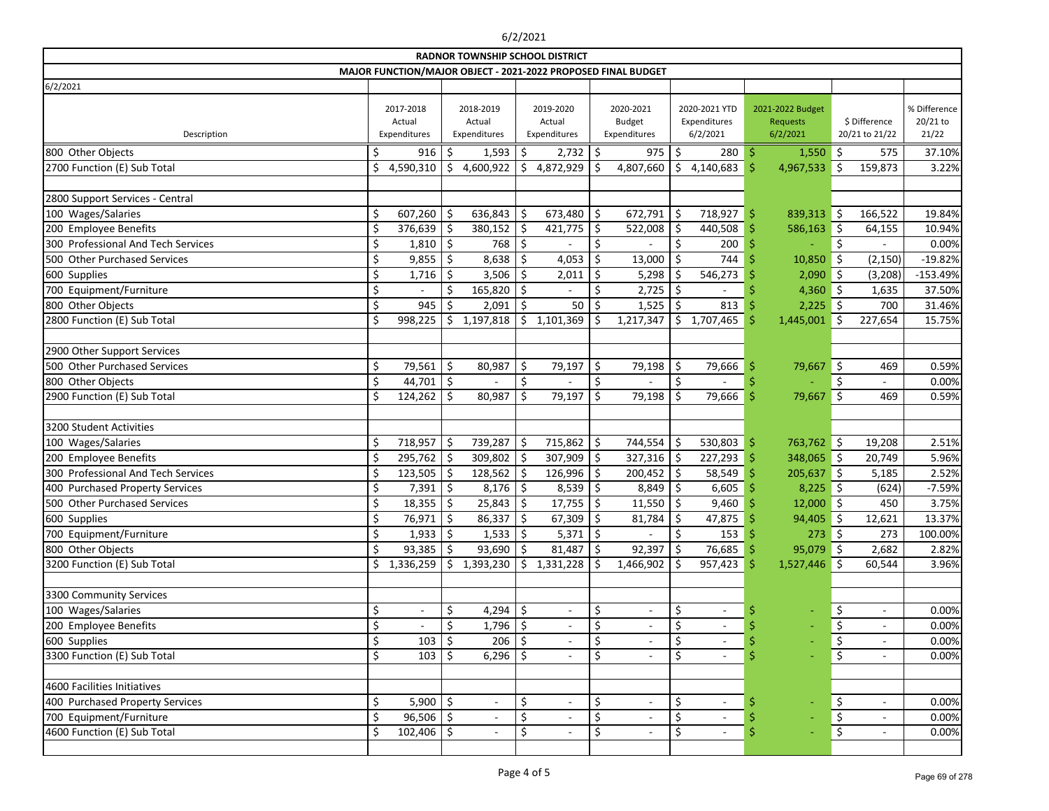|                                               |    |                                     |         |                                     |         | <b>RADNOR TOWNSHIP SCHOOL DISTRICT</b> |         | MAJOR FUNCTION/MAJOR OBJECT - 2021-2022 PROPOSED FINAL BUDGET |         |                                           |     |                                          |           |                                            |                                   |
|-----------------------------------------------|----|-------------------------------------|---------|-------------------------------------|---------|----------------------------------------|---------|---------------------------------------------------------------|---------|-------------------------------------------|-----|------------------------------------------|-----------|--------------------------------------------|-----------------------------------|
| 6/2/2021                                      |    |                                     |         |                                     |         |                                        |         |                                                               |         |                                           |     |                                          |           |                                            |                                   |
| Description                                   |    | 2017-2018<br>Actual<br>Expenditures |         | 2018-2019<br>Actual<br>Expenditures |         | 2019-2020<br>Actual<br>Expenditures    |         | 2020-2021<br><b>Budget</b><br>Expenditures                    |         | 2020-2021 YTD<br>Expenditures<br>6/2/2021 |     | 2021-2022 Budget<br>Requests<br>6/2/2021 |           | \$ Difference<br>20/21 to 21/22            | % Difference<br>20/21 to<br>21/22 |
| 800 Other Objects                             |    | 916                                 | -\$     | 1,593                               | \$      | 2,732                                  | \$      | 975                                                           | -\$     | $280 \, \space{1}$ \$                     |     | $1,550$ \$                               |           | 575                                        | 37.10%                            |
| 2700 Function (E) Sub Total                   |    | 4,590,310                           | Ŝ.      | 4,600,922                           | \$      | 4,872,929                              |         | 4,807,660                                                     | \$      | 4,140,683                                 |     | 4,967,533                                | Š.        | 159,873                                    | 3.22%                             |
|                                               |    |                                     |         |                                     |         |                                        |         |                                                               |         |                                           |     |                                          |           |                                            |                                   |
| 2800 Support Services - Central               |    |                                     |         |                                     |         |                                        |         |                                                               |         |                                           |     |                                          |           |                                            |                                   |
| 100 Wages/Salaries                            | Ś  | 607,260                             | \$      | 636,843                             | \$      | 673,480                                | \$      | 672,791                                                       | -\$     | 718,927                                   | \$  | 839,313                                  | ا \$      | 166,522                                    | 19.84%                            |
| 200 Employee Benefits                         |    | 376,639                             | Ŝ       | 380,152                             | \$      | 421,775                                | \$      | 522,008                                                       | -\$     | $440,508$ \$                              |     | 586,163                                  | ∣\$       | 64,155                                     | 10.94%                            |
| 300 Professional And Tech Services            |    | 1,810                               | Ŝ.      | 768                                 | Ŝ.      |                                        |         |                                                               |         | 200                                       |     |                                          | Ś.        |                                            | 0.00%                             |
| 500 Other Purchased Services                  | \$ | 9,855                               | \$      | 8,638                               | \$      | 4,053                                  | \$      | 13,000                                                        | $\zeta$ | 744                                       |     | 10,850                                   | \$        | (2, 150)                                   | $-19.82%$                         |
| 600 Supplies                                  |    | 1,716                               |         | 3,506                               | \$      | 2,011                                  | \$      | 5,298                                                         |         | 546,273                                   |     | 2,090                                    | \$        | (3, 208)                                   | $-153.49%$                        |
| 700 Equipment/Furniture                       | Ś  |                                     |         | 165,820                             | $\zeta$ |                                        | Ś.      | 2,725                                                         | \$      |                                           |     | 4,360                                    | $\zeta$   | 1,635                                      | 37.50%                            |
| 800 Other Objects                             | \$ | 945                                 | \$      | 2,091                               | \$      | 50                                     | \$.     | 1,525                                                         | S.      | 813                                       |     | 2,225                                    | ∥\$       | 700                                        | 31.46%                            |
| 2800 Function (E) Sub Total                   |    | 998,225                             | Ŝ.      | 1,197,818                           | \$      | 1,101,369                              |         | 1,217,347                                                     | \$      | 1,707,465                                 |     | 1,445,001                                | Ŝ.        | 227,654                                    | 15.75%                            |
|                                               |    |                                     |         |                                     |         |                                        |         |                                                               |         |                                           |     |                                          |           |                                            |                                   |
| 2900 Other Support Services                   |    |                                     |         |                                     |         |                                        |         |                                                               |         |                                           |     |                                          |           |                                            |                                   |
| 500 Other Purchased Services                  | \$ | 79,561                              | $\zeta$ | 80,987                              | \$      | 79,197                                 | \$      | 79,198                                                        | \$      | 79,666                                    |     | 79,667                                   | \$        | 469                                        | 0.59%                             |
| 800 Other Objects                             |    | 44,701                              | $\zeta$ |                                     | \$      |                                        | \$      |                                                               | \$      |                                           |     |                                          | \$        |                                            | 0.00%                             |
| 2900 Function (E) Sub Total                   |    | 124,262                             | Ŝ.      | 80,987                              | \$      | 79,197                                 | \$      | 79,198                                                        |         | 79,666                                    |     | 79,667                                   | Š.        | 469                                        | 0.59%                             |
|                                               |    |                                     |         |                                     |         |                                        |         |                                                               |         |                                           |     |                                          |           |                                            |                                   |
| 3200 Student Activities                       |    |                                     |         |                                     |         |                                        |         |                                                               |         |                                           |     |                                          |           |                                            |                                   |
| 100 Wages/Salaries                            | Ś  | 718,957                             | \$      | 739,287                             | \$      | 715,862                                | \$      | 744,554                                                       | -\$     | 530,803                                   | -\$ | 763,762 \$                               |           | 19,208                                     | 2.51%                             |
| 200 Employee Benefits                         |    | 295,762                             | Ŝ.      | 309,802                             | \$      | 307,909                                | \$      | $327,316$ \$                                                  |         | $227,293$ \$                              |     | 348,065 \$                               |           | 20,749                                     | 5.96%                             |
| 300 Professional And Tech Services            |    | 123,505                             |         | 128,562                             | Ś.      | 126,996                                | \$      | 200,452                                                       | Ŝ.      | 58,549                                    |     | 205,637                                  | $\zeta$   | 5,185                                      | 2.52%                             |
| 400 Purchased Property Services               |    | 7,391                               | \$      | 8,176                               | \$      | 8,539                                  | \$      | 8,849                                                         | \$      | 6,605                                     |     | 8,225                                    | ∣\$       | (624)                                      | $-7.59%$                          |
| 500 Other Purchased Services                  |    | 18,355                              |         | 25,843                              | \$      | 17,755                                 |         | 11,550                                                        |         | 9,460                                     |     | 12,000                                   |           | 450                                        | 3.75%                             |
| 600 Supplies                                  | ¢  | 76,971                              | $\zeta$ | 86,337                              | $\zeta$ | 67,309                                 | $\zeta$ | 81,784                                                        | $\zeta$ | 47,875                                    |     | 94,405 \$                                | $\zeta$   | 12,621                                     | 13.37%                            |
| 700 Equipment/Furniture                       | \$ | 1,933                               | $\zeta$ | $1,533$   \$                        |         | $5,371$ \$                             |         |                                                               | \$      | $153 \mid 5$                              |     | $273 \mid 5$                             |           | 273                                        | 100.00%                           |
| 800 Other Objects                             |    | 93,385                              | \$      | 93,690                              | \$      | 81,487                                 | \$      | 92,397                                                        |         | 76,685 \$                                 |     | $95,079$ \$                              |           | 2,682                                      | 2.82%                             |
| 3200 Function (E) Sub Total                   |    | 1,336,259                           | \$      | 1,393,230                           | \$      | 1,331,228                              | S.      | 1,466,902                                                     | -S      | $957,423$ \$                              |     | 1,527,446                                | <u>is</u> | 60,544                                     | 3.96%                             |
|                                               |    |                                     |         |                                     |         |                                        |         |                                                               |         |                                           |     |                                          |           |                                            |                                   |
| 3300 Community Services<br>100 Wages/Salaries |    |                                     | \$      | 4,294 $\frac{1}{5}$                 |         |                                        | \$      |                                                               | \$      |                                           |     |                                          |           | $\overline{\phantom{a}}$                   | 0.00%                             |
| 200 Employee Benefits                         |    |                                     |         | $1,796$ \$                          |         |                                        |         |                                                               |         |                                           |     |                                          | \$<br>\$  |                                            | 0.00%                             |
| 600 Supplies                                  | Ś  | 103                                 |         | 206                                 |         |                                        |         |                                                               |         |                                           |     |                                          | \$        | $\blacksquare$                             | 0.00%                             |
| 3300 Function (E) Sub Total                   |    | 103                                 |         | $6,296$ \$                          |         |                                        |         |                                                               |         |                                           |     |                                          | \$        | $\blacksquare$<br>$\overline{\phantom{a}}$ | 0.00%                             |
|                                               |    |                                     |         |                                     |         |                                        |         |                                                               |         |                                           |     |                                          |           |                                            |                                   |
| 4600 Facilities Initiatives                   |    |                                     |         |                                     |         |                                        |         |                                                               |         |                                           |     |                                          |           |                                            |                                   |
| 400 Purchased Property Services               |    | $5,900$ \$                          |         |                                     | \$      |                                        | \$      |                                                               | \$      | $\overline{\phantom{a}}$                  |     |                                          | \$        | $\blacksquare$                             | 0.00%                             |
| 700 Equipment/Furniture                       |    | 96,506                              | S.      |                                     |         |                                        |         |                                                               |         |                                           |     |                                          | \$        | $\overline{\phantom{a}}$                   | 0.00%                             |
| 4600 Function (E) Sub Total                   |    | 102,406                             | -\$     |                                     |         |                                        |         |                                                               | \$      |                                           |     |                                          | \$        | $\overline{\phantom{a}}$                   | 0.00%                             |
|                                               |    |                                     |         |                                     |         |                                        |         |                                                               |         |                                           |     |                                          |           |                                            |                                   |